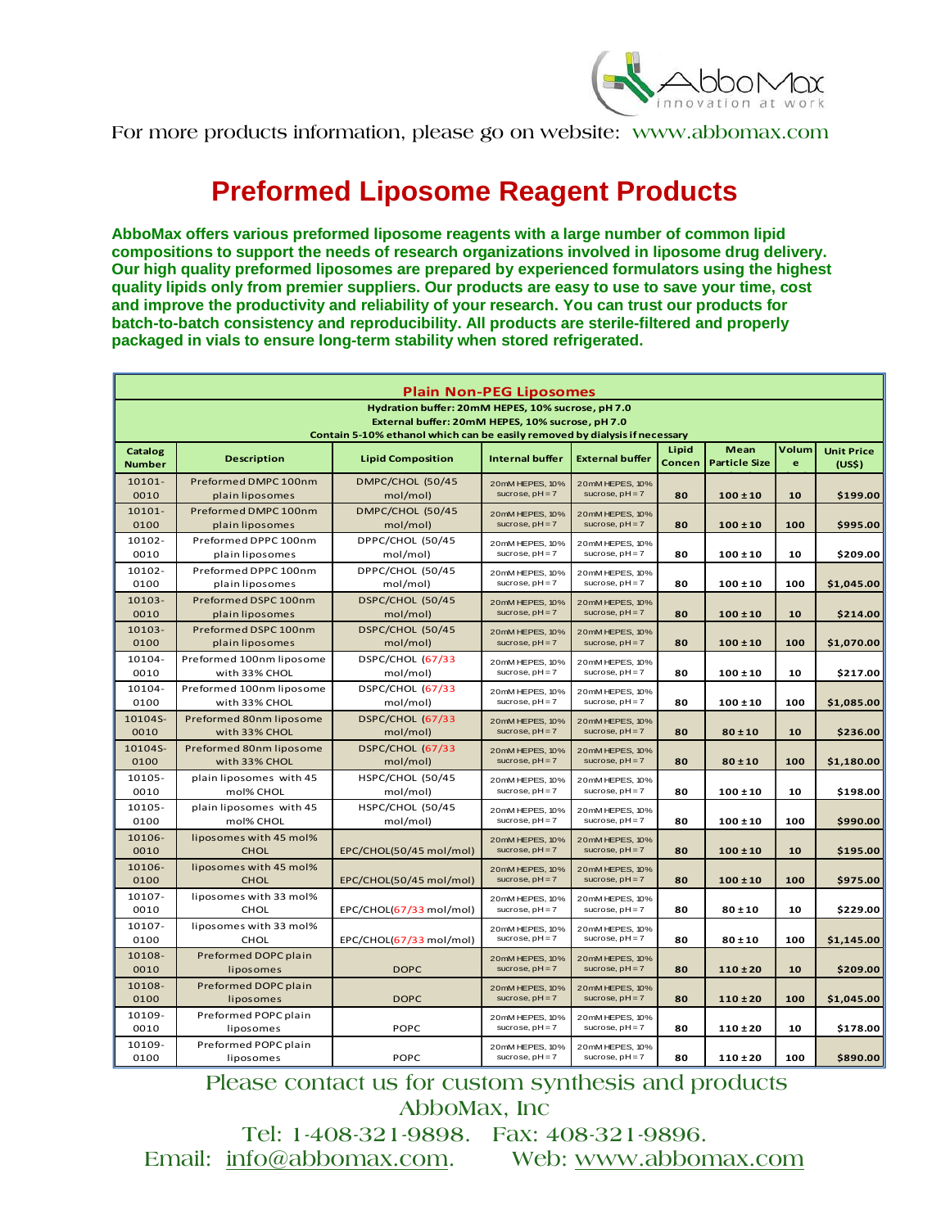

## **Preformed Liposome Reagent Products**

**AbboMax offers various preformed liposome reagents with a large number of common lipid compositions to support the needs of research organizations involved in liposome drug delivery. Our high quality preformed liposomes are prepared by experienced formulators using the highest quality lipids only from premier suppliers. Our products are easy to use to save your time, cost and improve the productivity and reliability of your research. You can trust our products for batch-to-batch consistency and reproducibility. All products are sterile-filtered and properly packaged in vials to ensure long-term stability when stored refrigerated.** 

| Hydration buffer: 20mM HEPES, 10% sucrose, pH 7.0<br>External buffer: 20mM HEPES, 10% sucrose, pH 7.0<br>Contain 5-10% ethanol which can be easily removed by dialysis if necessary<br>Volum<br>Mean<br>Lipid<br>Catalog<br><b>Description</b><br><b>Lipid Composition</b><br><b>Internal buffer</b><br><b>External buffer</b><br><b>Particle Size</b><br>Concen<br>e<br>(US <sub>5</sub> )<br>Number<br>10101-<br>Preformed DMPC 100nm<br>DMPC/CHOL (50/45<br>20mM HEPES, 10%<br>20mM HEPES, 10%<br>sucrose, $pH = 7$<br>sucrose, $pH = 7$<br>0010<br>mol/mol)<br>80<br>$100 \pm 10$<br>10<br>plain liposomes<br>10101-<br>Preformed DMPC 100nm<br>DMPC/CHOL (50/45<br>20mM HEPES, 10%<br>20mM HEPES, 10%<br>sucrose, $pH = 7$<br>sucrose, $pH = 7$<br>100<br>0100<br>mol/mol)<br>80<br>$100 \pm 10$<br>\$995.00<br>plain liposomes<br>DPPC/CHOL (50/45<br>10102-<br>Preformed DPPC 100nm<br>20mM HEPES, 10%<br>20mM HEPES, 10% | <b>Plain Non-PEG Liposomes</b> |                 |          |                   |                   |    |              |    |                   |
|----------------------------------------------------------------------------------------------------------------------------------------------------------------------------------------------------------------------------------------------------------------------------------------------------------------------------------------------------------------------------------------------------------------------------------------------------------------------------------------------------------------------------------------------------------------------------------------------------------------------------------------------------------------------------------------------------------------------------------------------------------------------------------------------------------------------------------------------------------------------------------------------------------------------------------|--------------------------------|-----------------|----------|-------------------|-------------------|----|--------------|----|-------------------|
|                                                                                                                                                                                                                                                                                                                                                                                                                                                                                                                                                                                                                                                                                                                                                                                                                                                                                                                                  |                                |                 |          |                   |                   |    |              |    |                   |
|                                                                                                                                                                                                                                                                                                                                                                                                                                                                                                                                                                                                                                                                                                                                                                                                                                                                                                                                  |                                |                 |          |                   |                   |    |              |    |                   |
|                                                                                                                                                                                                                                                                                                                                                                                                                                                                                                                                                                                                                                                                                                                                                                                                                                                                                                                                  |                                |                 |          |                   |                   |    |              |    | <b>Unit Price</b> |
|                                                                                                                                                                                                                                                                                                                                                                                                                                                                                                                                                                                                                                                                                                                                                                                                                                                                                                                                  |                                |                 |          |                   |                   |    |              |    |                   |
|                                                                                                                                                                                                                                                                                                                                                                                                                                                                                                                                                                                                                                                                                                                                                                                                                                                                                                                                  |                                |                 |          |                   |                   |    |              |    | \$199.00          |
|                                                                                                                                                                                                                                                                                                                                                                                                                                                                                                                                                                                                                                                                                                                                                                                                                                                                                                                                  |                                |                 |          |                   |                   |    |              |    |                   |
|                                                                                                                                                                                                                                                                                                                                                                                                                                                                                                                                                                                                                                                                                                                                                                                                                                                                                                                                  |                                |                 |          |                   |                   |    |              |    |                   |
|                                                                                                                                                                                                                                                                                                                                                                                                                                                                                                                                                                                                                                                                                                                                                                                                                                                                                                                                  | 0010                           | plain liposomes | mol/mol) | sucrose, $pH = 7$ | sucrose, $pH = 7$ | 80 | $100 \pm 10$ | 10 | \$209.00          |
| 10102-<br>Preformed DPPC 100nm<br>DPPC/CHOL (50/45<br>20mM HEPES, 10%                                                                                                                                                                                                                                                                                                                                                                                                                                                                                                                                                                                                                                                                                                                                                                                                                                                            |                                |                 |          |                   |                   |    |              |    |                   |
| 20mM HEPES, 10%<br>sucrose, $pH = 7$<br>sucrose, $pH = 7$<br>0100<br>80<br>$100 \pm 10$<br>100<br>plain liposomes<br>mol/mol)                                                                                                                                                                                                                                                                                                                                                                                                                                                                                                                                                                                                                                                                                                                                                                                                    |                                |                 |          |                   |                   |    |              |    | \$1,045.00        |
| DSPC/CHOL (50/45<br>10103-<br>Preformed DSPC 100nm<br>20mM HEPES, 10%<br>20mM HEPES, 10%                                                                                                                                                                                                                                                                                                                                                                                                                                                                                                                                                                                                                                                                                                                                                                                                                                         |                                |                 |          |                   |                   |    |              |    |                   |
| sucrose, $pH = 7$<br>sucrose, $pH = 7$<br>0010<br>plain liposomes<br>mol/mol)<br>80<br>$100 \pm 10$<br>10                                                                                                                                                                                                                                                                                                                                                                                                                                                                                                                                                                                                                                                                                                                                                                                                                        |                                |                 |          |                   |                   |    |              |    | \$214.00          |
| 10103-<br>Preformed DSPC 100nm<br>DSPC/CHOL (50/45<br>20mM HEPES, 10%<br>20mM HEPES, 10%                                                                                                                                                                                                                                                                                                                                                                                                                                                                                                                                                                                                                                                                                                                                                                                                                                         |                                |                 |          |                   |                   |    |              |    |                   |
| sucrose, $pH = 7$<br>sucrose, $pH = 7$<br>100<br>0100<br>plain liposomes<br>mol/mol)<br>80<br>$100 \pm 10$                                                                                                                                                                                                                                                                                                                                                                                                                                                                                                                                                                                                                                                                                                                                                                                                                       |                                |                 |          |                   |                   |    |              |    | \$1,070.00        |
| DSPC/CHOL (67/33<br>10104-<br>Preformed 100nm liposome<br>20mM HEPES, 10%<br>20mM HEPES, 10%<br>sucrose, $pH = 7$<br>sucrose, $pH = 7$                                                                                                                                                                                                                                                                                                                                                                                                                                                                                                                                                                                                                                                                                                                                                                                           |                                |                 |          |                   |                   |    |              |    |                   |
| 0010<br>with 33% CHOL<br>mol/mol)<br>80<br>$100 \pm 10$<br>10                                                                                                                                                                                                                                                                                                                                                                                                                                                                                                                                                                                                                                                                                                                                                                                                                                                                    |                                |                 |          |                   |                   |    |              |    | \$217.00          |
| DSPC/CHOL (67/33<br>10104-<br>Preformed 100nm liposome<br>20mM HEPES, 10%<br>20mM HEPES, 10%<br>sucrose, $pH = 7$<br>sucrose, $pH = 7$<br>0100<br>with 33% CHOL<br>mol/mol)<br>80<br>$100 \pm 10$<br>100                                                                                                                                                                                                                                                                                                                                                                                                                                                                                                                                                                                                                                                                                                                         |                                |                 |          |                   |                   |    |              |    | \$1,085.00        |
| 10104S-<br>Preformed 80nm liposome<br>DSPC/CHOL (67/33                                                                                                                                                                                                                                                                                                                                                                                                                                                                                                                                                                                                                                                                                                                                                                                                                                                                           |                                |                 |          |                   |                   |    |              |    |                   |
| 20mM HEPES, 10%<br>20mM HEPES, 10%<br>0010<br>with 33% CHOL<br>mol/mol)<br>sucrose, $pH = 7$<br>sucrose, $pH = 7$<br>80<br>$80 + 10$<br>10                                                                                                                                                                                                                                                                                                                                                                                                                                                                                                                                                                                                                                                                                                                                                                                       |                                |                 |          |                   |                   |    |              |    | \$236.00          |
| 10104S-<br>Preformed 80nm liposome<br>DSPC/CHOL (67/33<br>20mM HEPES, 10%<br>20mM HEPES, 10%                                                                                                                                                                                                                                                                                                                                                                                                                                                                                                                                                                                                                                                                                                                                                                                                                                     |                                |                 |          |                   |                   |    |              |    |                   |
| sucrose, $pH = 7$<br>sucrose, $pH = 7$<br>0100<br>with 33% CHOL<br>mol/mol)<br>80<br>$80 + 10$<br>100                                                                                                                                                                                                                                                                                                                                                                                                                                                                                                                                                                                                                                                                                                                                                                                                                            |                                |                 |          |                   |                   |    |              |    | \$1,180.00        |
| 10105-<br>plain liposomes with 45<br>HSPC/CHOL (50/45<br>20mM HEPES, 10%<br>20mM HEPES, 10%                                                                                                                                                                                                                                                                                                                                                                                                                                                                                                                                                                                                                                                                                                                                                                                                                                      |                                |                 |          |                   |                   |    |              |    |                   |
| sucrose, $pH = 7$<br>sucrose, $pH = 7$<br>0010<br>80<br>$100 \pm 10$<br>10<br>mol% CHOL<br>mol/mol)                                                                                                                                                                                                                                                                                                                                                                                                                                                                                                                                                                                                                                                                                                                                                                                                                              |                                |                 |          |                   |                   |    |              |    | \$198.00          |
| HSPC/CHOL (50/45<br>plain liposomes with 45<br>10105-<br>20mM HEPES, 10%<br>20mM HEPES, 10%                                                                                                                                                                                                                                                                                                                                                                                                                                                                                                                                                                                                                                                                                                                                                                                                                                      |                                |                 |          |                   |                   |    |              |    |                   |
| sucrose, $pH = 7$<br>0100<br>mol% CHOL<br>mol/mol)<br>sucrose, $pH = 7$<br>80<br>$100 \pm 10$<br>100                                                                                                                                                                                                                                                                                                                                                                                                                                                                                                                                                                                                                                                                                                                                                                                                                             |                                |                 |          |                   |                   |    |              |    | \$990.00          |
| liposomes with 45 mol%<br>10106-<br>20mM HEPES, 10%<br>20mM HEPES, 10%<br>sucrose, $pH = 7$<br>sucrose, $pH = 7$                                                                                                                                                                                                                                                                                                                                                                                                                                                                                                                                                                                                                                                                                                                                                                                                                 |                                |                 |          |                   |                   |    |              |    |                   |
| 0010<br><b>CHOL</b><br>EPC/CHOL(50/45 mol/mol)<br>80<br>$100 \pm 10$<br>10                                                                                                                                                                                                                                                                                                                                                                                                                                                                                                                                                                                                                                                                                                                                                                                                                                                       |                                |                 |          |                   |                   |    |              |    | \$195.00          |
| liposomes with 45 mol%<br>10106-<br>20mM HEPES, 10%<br>20mM HEPES, 10%<br>sucrose, $pH = 7$<br>sucrose, $pH = 7$<br>0100<br><b>CHOL</b><br>EPC/CHOL(50/45 mol/mol)<br>80<br>$100 \pm 10$<br>100                                                                                                                                                                                                                                                                                                                                                                                                                                                                                                                                                                                                                                                                                                                                  |                                |                 |          |                   |                   |    |              |    | \$975.00          |
| 10107-<br>liposomes with 33 mol%                                                                                                                                                                                                                                                                                                                                                                                                                                                                                                                                                                                                                                                                                                                                                                                                                                                                                                 |                                |                 |          |                   |                   |    |              |    |                   |
| 20mM HEPES, 10%<br>20mM HEPES, 10%<br>0010<br><b>CHOL</b><br>EPC/CHOL(67/33 mol/mol)<br>sucrose, $pH = 7$<br>sucrose, $pH = 7$<br>80<br>$80 + 10$<br>10                                                                                                                                                                                                                                                                                                                                                                                                                                                                                                                                                                                                                                                                                                                                                                          |                                |                 |          |                   |                   |    |              |    | \$229.00          |
| 10107-<br>liposomes with 33 mol%<br>20mM HEPES, 10%<br>20mM HEPES, 10%                                                                                                                                                                                                                                                                                                                                                                                                                                                                                                                                                                                                                                                                                                                                                                                                                                                           |                                |                 |          |                   |                   |    |              |    |                   |
| 0100<br><b>CHOL</b><br>EPC/CHOL(67/33 mol/mol)<br>sucrose, $pH = 7$<br>sucrose, $pH = 7$<br>$80 + 10$<br>100<br>80                                                                                                                                                                                                                                                                                                                                                                                                                                                                                                                                                                                                                                                                                                                                                                                                               |                                |                 |          |                   |                   |    |              |    | \$1,145.00        |
| Preformed DOPC plain<br>10108-<br>20mM HEPES, 10%<br>20mM HEPES, 10%                                                                                                                                                                                                                                                                                                                                                                                                                                                                                                                                                                                                                                                                                                                                                                                                                                                             |                                |                 |          |                   |                   |    |              |    |                   |
| sucrose, $pH = 7$<br>sucrose, $pH = 7$<br>0010<br>liposomes<br><b>DOPC</b><br>80<br>$110 \pm 20$<br>10                                                                                                                                                                                                                                                                                                                                                                                                                                                                                                                                                                                                                                                                                                                                                                                                                           |                                |                 |          |                   |                   |    |              |    | \$209.00          |
| 10108-<br>Preformed DOPC plain<br>20mM HEPES, 10%<br>20mM HEPES, 10%                                                                                                                                                                                                                                                                                                                                                                                                                                                                                                                                                                                                                                                                                                                                                                                                                                                             |                                |                 |          |                   |                   |    |              |    |                   |
| 0100<br><b>DOPC</b><br>sucrose, $pH = 7$<br>sucrose, $pH = 7$<br>100<br>liposomes<br>80<br>$110 \pm 20$                                                                                                                                                                                                                                                                                                                                                                                                                                                                                                                                                                                                                                                                                                                                                                                                                          |                                |                 |          |                   |                   |    |              |    | \$1,045.00        |
| 10109-<br>Preformed POPC plain<br>20mM HEPES, 10%<br>20mM HEPES, 10%<br>sucrose, $pH = 7$<br>sucrose, $pH = 7$                                                                                                                                                                                                                                                                                                                                                                                                                                                                                                                                                                                                                                                                                                                                                                                                                   |                                |                 |          |                   |                   |    |              |    |                   |
| 0010<br>liposomes<br>POPC<br>80<br>10<br>$110 \pm 20$                                                                                                                                                                                                                                                                                                                                                                                                                                                                                                                                                                                                                                                                                                                                                                                                                                                                            |                                |                 |          |                   |                   |    |              |    | \$178.00          |
| 10109-<br>Preformed POPC plain<br>20mM HEPES, 10%<br>20mM HEPES, 10%<br>0100<br>POPC<br>sucrose, $pH = 7$<br>sucrose, $pH = 7$<br>80<br>100<br>$110 \pm 20$<br>liposomes                                                                                                                                                                                                                                                                                                                                                                                                                                                                                                                                                                                                                                                                                                                                                         |                                |                 |          |                   |                   |    |              |    | \$890.00          |

Please contact us for custom synthesis and products AbboMax, Inc

Tel: 1-408-321-9898. Fax: 408-321-9896. Email: info@abbomax.com. Web: www.abbomax.com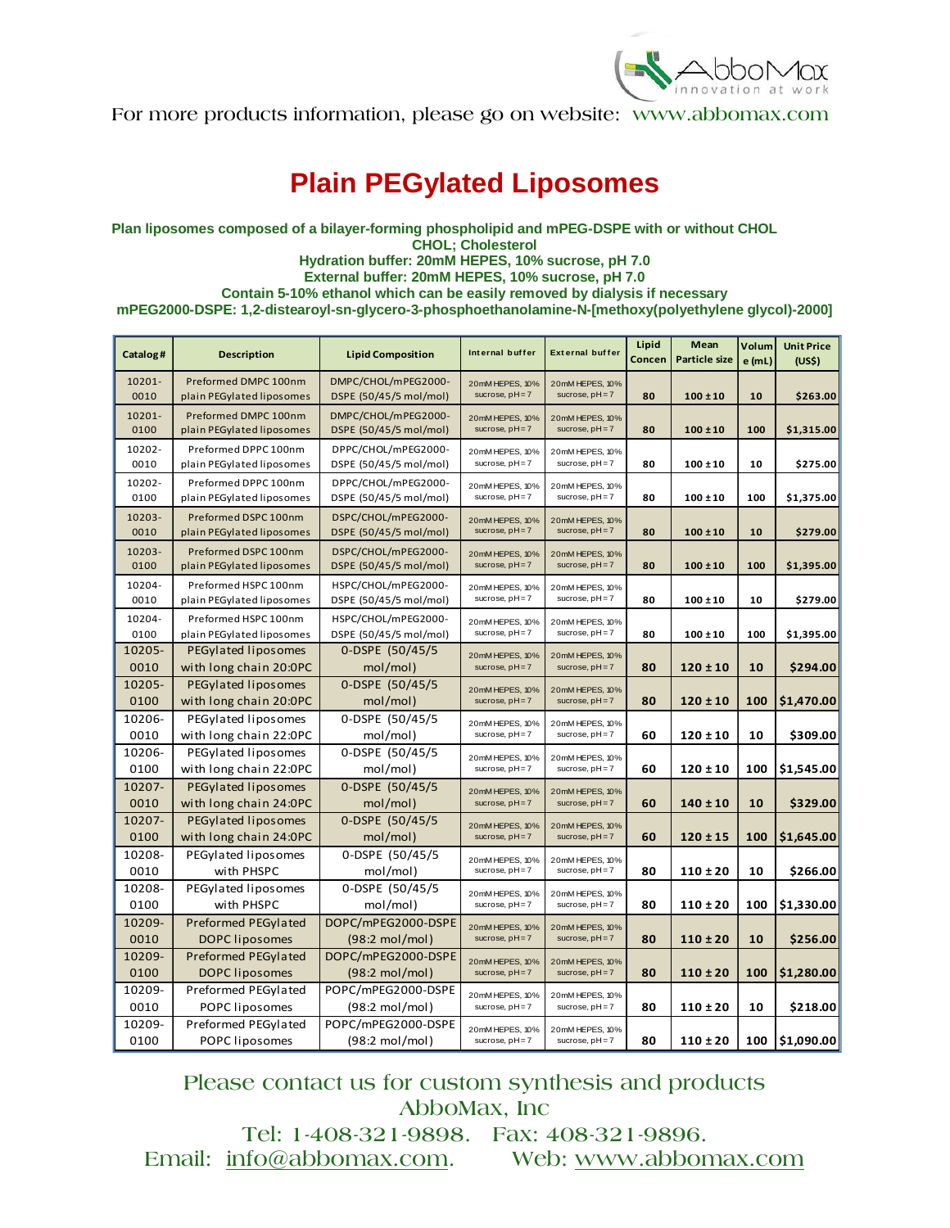

## **Plain PEGylated Liposomes**

**Plan liposomes composed of a bilayer-forming phospholipid and mPEG-DSPE with or without CHOL CHOL; Cholesterol Hydration buffer: 20mM HEPES, 10% sucrose, pH 7.0 External buffer: 20mM HEPES, 10% sucrose, pH 7.0 Contain 5-10% ethanol which can be easily removed by dialysis if necessary mPEG2000-DSPE: 1,2-distearoyl-sn-glycero-3-phosphoethanolamine-N-[methoxy(polyethylene glycol)-2000]** 

| Catalog#       | <b>Description</b>                                | <b>Lipid Composition</b>                       | Internal buffer                      | <b>External buffer</b>               | Lipid<br>Concen | Mean<br><b>Particle size</b> | Volum<br>e (mL) | <b>Unit Price</b><br>(US\$) |
|----------------|---------------------------------------------------|------------------------------------------------|--------------------------------------|--------------------------------------|-----------------|------------------------------|-----------------|-----------------------------|
| 10201-<br>0010 | Preformed DMPC 100nm<br>plain PEGylated liposomes | DMPC/CHOL/mPEG2000-<br>DSPE (50/45/5 mol/mol)  | 20mM HEPES, 10%<br>sucrose, $pH = 7$ | 20mM HEPES, 10%<br>sucrose, $pH = 7$ | 80              | $100 \pm 10$                 | 10              | \$263.00                    |
| 10201-<br>0100 | Preformed DMPC 100nm<br>plain PEGylated liposomes | DMPC/CHOL/mPEG2000-<br>DSPE (50/45/5 mol/mol)  | 20mM HEPES, 10%<br>sucrose, pH=7     | 20mM HEPES, 10%<br>sucrose, $pH = 7$ | 80              | $100 \pm 10$                 | 100             | \$1,315.00                  |
| 10202-<br>0010 | Preformed DPPC 100nm<br>plain PEGylated liposomes | DPPC/CHOL/mPEG2000-<br>DSPE (50/45/5 mol/mol)  | 20mM HEPES, 10%<br>sucrose, pH=7     | 20mM HEPES, 10%<br>sucrose, $pH = 7$ | 80              | $100 \pm 10$                 | 10              | \$275.00                    |
| 10202-<br>0100 | Preformed DPPC 100nm<br>plain PEGylated liposomes | DPPC/CHOL/mPEG2000-<br>DSPE (50/45/5 mol/mol)  | 20mM HEPES, 10%<br>sucrose, pH=7     | 20mM HEPES, 10%<br>sucrose, pH=7     | 80              | $100 \pm 10$                 | 100             | \$1,375.00                  |
| 10203-<br>0010 | Preformed DSPC 100nm<br>plain PEGylated liposomes | DSPC/CHOL/mPEG2000-<br>DSPE (50/45/5 mol/mol)  | 20mM HEPES, 10%<br>sucrose, pH=7     | 20mM HEPES, 10%<br>sucrose, $pH = 7$ | 80              | $100 \pm 10$                 | 10              | \$279.00                    |
| 10203-<br>0100 | Preformed DSPC 100nm<br>plain PEGylated liposomes | DSPC/CHOL/mPEG2000-<br>DSPE (50/45/5 mol/mol)  | 20mM HEPES, 10%<br>sucrose, $pH = 7$ | 20mM HEPES, 10%<br>sucrose, $pH = 7$ | 80              | $100 \pm 10$                 | 100             | \$1,395.00                  |
| 10204-<br>0010 | Preformed HSPC 100nm<br>plain PEGylated liposomes | HSPC/CHOL/mPEG2000-<br>DSPE (50/45/5 mol/mol)  | 20mM HEPES, 10%<br>sucrose, pH=7     | 20mM HEPES, 10%<br>sucrose, $pH = 7$ | 80              | $100 \pm 10$                 | 10              | \$279.00                    |
| 10204-<br>0100 | Preformed HSPC 100nm<br>plain PEGylated liposomes | HSPC/CHOL/mPEG2000-<br>DSPE (50/45/5 mol/mol)  | 20mM HEPES, 10%<br>sucrose, pH=7     | 20mM HEPES, 10%<br>sucrose, $pH = 7$ | 80              | $100 \pm 10$                 | 100             | \$1,395.00                  |
| 10205-<br>0010 | PEGylated liposomes<br>with long chain 20:0PC     | 0-DSPE (50/45/5<br>mol/mol)                    | 20mM HEPES, 10%<br>sucrose, pH=7     | 20mM HEPES, 10%<br>sucrose, $pH = 7$ | 80              | $120 \pm 10$                 | 10              | \$294.00                    |
| 10205-<br>0100 | PEGylated liposomes<br>with long chain 20:0PC     | 0-DSPE (50/45/5<br>mol/mol)                    | 20mM HEPES, 10%<br>sucrose, pH=7     | 20mM HEPES, 10%<br>sucrose, $pH = 7$ | 80              | $120 \pm 10$                 | 100             | \$1,470.00                  |
| 10206-<br>0010 | PEGylated liposomes<br>with long chain 22:0PC     | 0-DSPE (50/45/5<br>mol/mol)                    | 20mM HEPES, 10%<br>sucrose, pH=7     | 20mM HEPES, 10%<br>sucrose, pH=7     | 60              | $120 \pm 10$                 | 10              | \$309.00                    |
| 10206-<br>0100 | PEGylated liposomes<br>with long chain 22:0PC     | 0-DSPE (50/45/5<br>mol/mol)                    | 20mM HEPES, 10%<br>sucrose, pH=7     | 20mM HEPES, 10%<br>sucrose, $pH = 7$ | 60              | $120 \pm 10$                 | 100             | \$1,545.00                  |
| 10207-<br>0010 | PEGylated liposomes<br>with long chain 24:0PC     | 0-DSPE (50/45/5<br>mol/mol)                    | 20mM HEPES, 10%<br>sucrose, $pH = 7$ | 20mM HEPES, 10%<br>sucrose, $pH = 7$ | 60              | $140 \pm 10$                 | 10              | \$329.00                    |
| 10207-<br>0100 | PEGylated liposomes<br>with long chain 24:0PC     | 0-DSPE (50/45/5<br>mol/mol)                    | 20mM HEPES, 10%<br>sucrose, $pH = 7$ | 20mM HEPES, 10%<br>sucrose, $pH = 7$ | 60              | $120 \pm 15$                 | 100             | \$1,645.00                  |
| 10208-<br>0010 | PEGylated liposomes<br>with PHSPC                 | 0-DSPE (50/45/5<br>mol/mol)                    | 20mM HEPES, 10%<br>sucrose, pH=7     | 20mM HEPES, 10%<br>sucrose, pH=7     | 80              | $110 \pm 20$                 | 10              | \$266.00                    |
| 10208-<br>0100 | PEGylated liposomes<br>with PHSPC                 | 0-DSPE (50/45/5<br>mol/mol)                    | 20mM HEPES, 10%<br>sucrose, pH=7     | 20mM HEPES, 10%<br>sucrose, $pH = 7$ | 80              | $110 \pm 20$                 | 100             | \$1,330.00                  |
| 10209-<br>0010 | Preformed PEGylated<br><b>DOPC</b> liposomes      | DOPC/mPEG2000-DSPE<br>$(98:2 \text{ mol/mol})$ | 20mM HEPES, 10%<br>sucrose, $pH = 7$ | 20mM HEPES, 10%<br>sucrose, $pH = 7$ | 80              | $110 \pm 20$                 | 10              | \$256.00                    |
| 10209-<br>0100 | Preformed PEGylated<br>DOPC liposomes             | DOPC/mPEG2000-DSPE<br>$(98:2 \text{ mol/mol})$ | 20mM HEPES, 10%<br>sucrose, $pH = 7$ | 20mM HEPES, 10%<br>sucrose, $pH = 7$ | 80              | $110 \pm 20$                 | 100             | \$1,280.00                  |
| 10209-<br>0010 | Preformed PEGylated<br>POPC liposomes             | POPC/mPEG2000-DSPE<br>$(98:2 \text{ mol/mol})$ | 20mM HEPES, 10%<br>sucrose, pH=7     | 20mM HEPES, 10%<br>sucrose, $pH = 7$ | 80              | $110 \pm 20$                 | 10              | \$218.00                    |
| 10209-<br>0100 | Preformed PEGylated<br>POPC liposomes             | POPC/mPEG2000-DSPE<br>$(98:2 \text{ mol/mol})$ | 20mM HEPES, 10%<br>sucrose, pH=7     | 20mM HEPES, 10%<br>sucrose, $pH = 7$ | 80              | $110 \pm 20$                 |                 | 100 \$1,090.00              |

Please contact us for custom synthesis and products AbboMax, Inc

Tel: 1-408-321-9898. Fax: 408-321-9896. Email: info@abbomax.com. Web: www.abbomax.com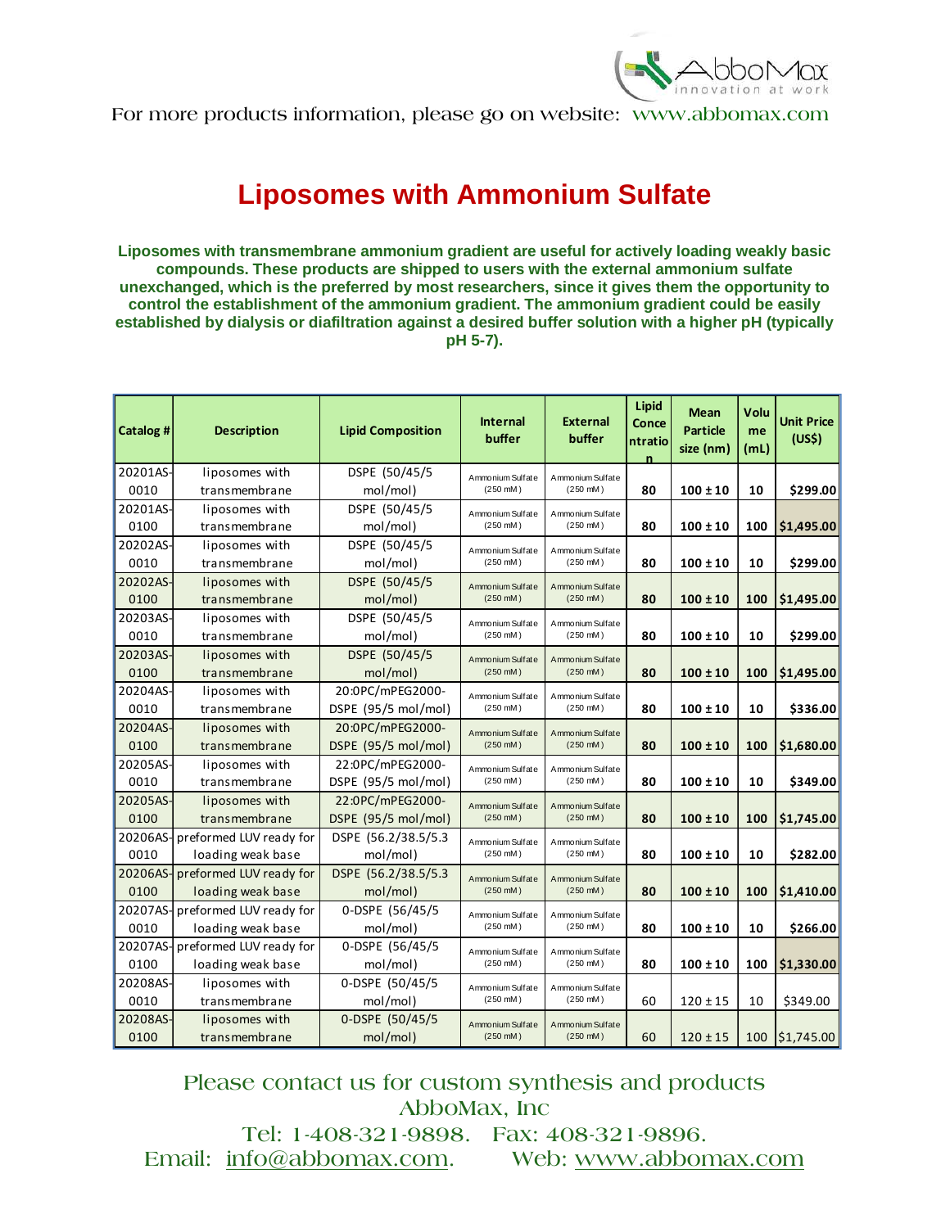

## **Liposomes with Ammonium Sulfate**

**Liposomes with transmembrane ammonium gradient are useful for actively loading weakly basic compounds. These products are shipped to users with the external ammonium sulfate unexchanged, which is the preferred by most researchers, since it gives them the opportunity to control the establishment of the ammonium gradient. The ammonium gradient could be easily established by dialysis or diafiltration against a desired buffer solution with a higher pH (typically pH 5-7).** 

| Catalog # | <b>Description</b>              | <b>Lipid Composition</b> | <b>Internal</b><br>buffer | <b>External</b><br>buffer                | Lipid<br>Conce<br>ntratio | <b>Mean</b><br><b>Particle</b><br>size (nm) | Volu<br>me<br>(mL) | <b>Unit Price</b><br>(US\$) |
|-----------|---------------------------------|--------------------------|---------------------------|------------------------------------------|---------------------------|---------------------------------------------|--------------------|-----------------------------|
| 20201AS-  | liposomes with                  | DSPE (50/45/5            | Ammonium Sulfate          | Ammonium Sulfate                         |                           |                                             |                    |                             |
| 0010      | transmembrane                   | mol/mol)                 | $(250 \, \text{mM})$      | $(250 \, \text{mM})$                     | 80                        | $100 \pm 10$                                | 10                 | \$299.00                    |
| 20201AS-  | liposomes with                  | DSPE (50/45/5            | Ammonium Sulfate          | Ammonium Sulfate                         |                           |                                             |                    |                             |
| 0100      | transmembrane                   | mol/mol)                 | $(250 \, \text{mM})$      | $(250 \, \text{mM})$                     | 80                        | $100 \pm 10$                                | 100                | \$1,495.00                  |
| 20202AS-  | liposomes with                  | DSPE (50/45/5            | Ammonium Sulfate          | Ammonium Sulfate                         |                           |                                             |                    |                             |
| 0010      | transmembrane                   | mol/mol)                 | $(250 \, \text{mM})$      | $(250 \, \text{mM})$                     | 80                        | $100 \pm 10$                                | 10                 | \$299.00                    |
| 20202AS-  | liposomes with                  | DSPE (50/45/5            | Ammonium Sulfate          | Ammonium Sulfate<br>$(250 \, \text{mM})$ |                           |                                             |                    |                             |
| 0100      | transmembrane                   | mol/mol)                 | $(250 \, \text{mM})$      |                                          | 80                        | $100 \pm 10$                                | 100                | \$1,495.00                  |
| 20203AS-  | liposomes with                  | DSPE (50/45/5            | Ammonium Sulfate          | Ammonium Sulfate                         |                           |                                             |                    |                             |
| 0010      | transmembrane                   | mol/mol)                 | $(250 \, \text{mM})$      | $(250 \, \text{mM})$                     | 80                        | $100 \pm 10$                                | 10                 | \$299.00                    |
| 20203AS-  | liposomes with                  | DSPE (50/45/5            | Ammonium Sulfate          | Ammonium Sulfate<br>$(250 \, \text{mM})$ |                           |                                             |                    |                             |
| 0100      | transmembrane                   | mol/mol)                 | $(250 \, \text{mM})$      |                                          | 80                        | $100 \pm 10$                                | 100                | \$1,495.00                  |
| 20204AS-  | liposomes with                  | 20:0PC/mPEG2000-         | Ammonium Sulfate          | Ammonium Sulfate                         |                           |                                             |                    |                             |
| 0010      | transmembrane                   | DSPE (95/5 mol/mol)      | $(250 \, \text{mM})$      | $(250 \, \text{mM})$                     | 80                        | $100 \pm 10$                                | 10                 | \$336.00                    |
| 20204AS-  | liposomes with                  | 20:0PC/mPEG2000-         | Ammonium Sulfate          | Ammonium Sulfate                         |                           |                                             |                    |                             |
| 0100      | transmembrane                   | DSPE (95/5 mol/mol)      | $(250 \, \text{mM})$      | $(250 \, \text{mM})$                     | 80                        | $100 \pm 10$                                | 100                | \$1,680.00                  |
| 20205AS-  | liposomes with                  | 22:0PC/mPEG2000-         | Ammonium Sulfate          | Ammonium Sulfate                         |                           |                                             |                    |                             |
| 0010      | transmembrane                   | DSPE (95/5 mol/mol)      | $(250 \, \text{mM})$      | $(250 \, \text{mM})$                     | 80                        | $100 \pm 10$                                | 10                 | \$349.00                    |
| 20205AS-  | liposomes with                  | 22:0PC/mPEG2000-         | Ammonium Sulfate          | Ammonium Sulfate                         |                           |                                             |                    |                             |
| 0100      | transmembrane                   | DSPE (95/5 mol/mol)      | $(250 \, \text{mM})$      | $(250 \, \text{mM})$                     | 80                        | $100 \pm 10$                                | 100                | \$1,745.00                  |
| 20206AS-  | preformed LUV ready for         | DSPE (56.2/38.5/5.3      | Ammonium Sulfate          | Ammonium Sulfate<br>$(250 \, \text{mM})$ |                           |                                             |                    |                             |
| 0010      | loading weak base               | mol/mol)                 | $(250 \, \text{mM})$      |                                          | 80                        | $100 \pm 10$                                | 10                 | \$282.00                    |
|           | 20206AS-preformed LUV ready for | DSPE (56.2/38.5/5.3)     | Ammonium Sulfate          | Ammonium Sulfate<br>$(250 \, \text{mM})$ |                           |                                             |                    |                             |
| 0100      | loading weak base               | mol/mol)                 | $(250 \, \text{mM})$      |                                          | 80                        | $100 \pm 10$                                | 100                | \$1,410.00                  |
|           | 20207AS-preformed LUV ready for | 0-DSPE (56/45/5          | Ammonium Sulfate          | Ammonium Sulfate<br>$(250 \, \text{mM})$ |                           |                                             |                    |                             |
| 0010      | loading weak base               | mol/mol)                 | $(250 \, \text{mM})$      |                                          | 80                        | $100 \pm 10$                                | 10                 | \$266.00                    |
|           | 20207AS-preformed LUV ready for | 0-DSPE (56/45/5          | Ammonium Sulfate          | Ammonium Sulfate                         |                           |                                             |                    |                             |
| 0100      | loading weak base               | mol/mol)                 | $(250 \, \text{mM})$      | $(250 \, \text{mM})$                     | 80                        | $100 \pm 10$                                | 100                | \$1,330.00                  |
| 20208AS-  | liposomes with                  | 0-DSPE (50/45/5          | Ammonium Sulfate          | Ammonium Sulfate<br>$(250 \, \text{mM})$ |                           |                                             |                    |                             |
| 0010      | transmembrane                   | mol/mol)                 | $(250 \, \text{mM})$      |                                          | 60                        | $120 \pm 15$                                | 10                 | \$349.00                    |
| 20208AS-  | liposomes with                  | 0-DSPE (50/45/5          | Ammonium Sulfate          | Ammonium Sulfate                         |                           |                                             |                    |                             |
| 0100      | transmembrane                   | mol/mol)                 | $(250 \, \text{mM})$      | $(250 \, \text{mM})$                     | 60                        | $120 \pm 15$                                | 100                | \$1,745.00                  |

Please contact us for custom synthesis and products AbboMax, Inc Tel: 1-408-321-9898. Fax: 408-321-9896.

Email: info@abbomax.com. Web: www.abbomax.com